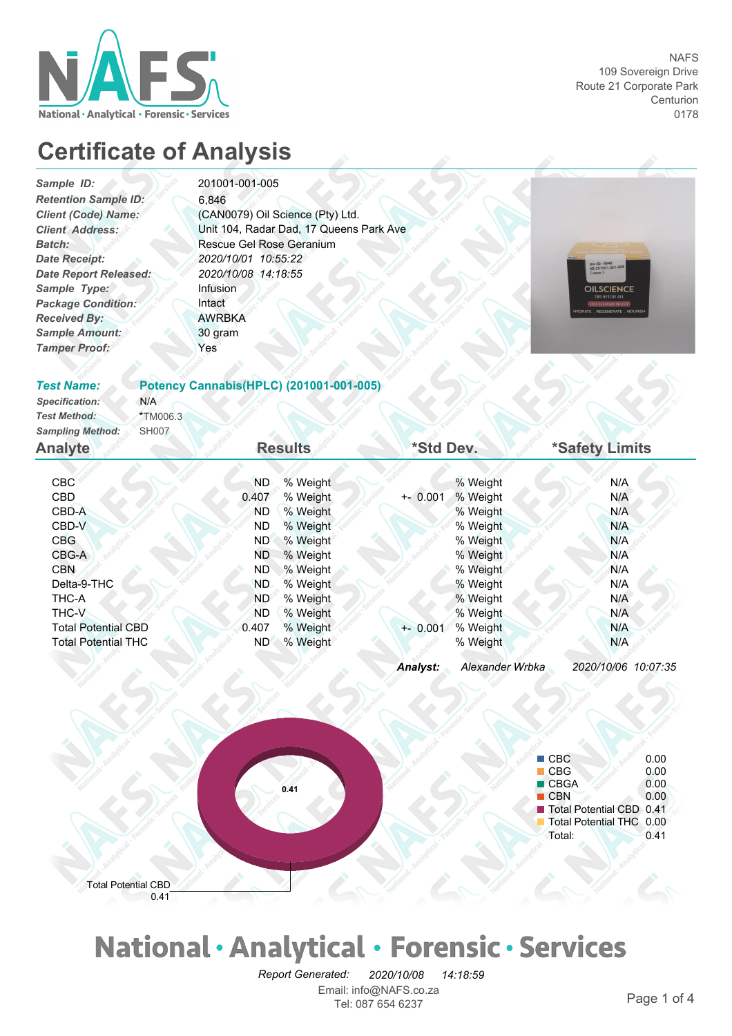

## **Certificate of Analysis**

*Client (Code) Name: Package Condition: Received By: Sample Amount: Sample Type: Tamper Proof: Sample ID: Retention Sample ID: Batch: Date Receipt: Date Report Released:*

### 201001-001-005

Rescue Gel Rose Geranium *2020/10/01 10:55:22 2020/10/08 14:18:55 Client Address:* Unit 104, Radar Dad, 17 Queens Park Ave (CAN0079) Oil Science (Pty) Ltd. Intact AWRBKA Infusion Yes 30 gram 6,846

**Potency Cannabis(HPLC) (201001-001-005)**



#### *Test Name:*

*Test Method: Specification:* \*TM006.3 *Sampling Method:* SH007 N/A

| Sampling Method:<br><b>SH007</b> |           |                |             |          |                |
|----------------------------------|-----------|----------------|-------------|----------|----------------|
| <b>Analyte</b>                   |           | <b>Results</b> | *Std Dev.   |          | *Safety Limits |
|                                  |           |                |             |          |                |
| CBC <sup>1</sup>                 | ND.       | % Weight       |             | % Weight | N/A            |
| CBD                              | 0.407     | % Weight       | $+ - 0.001$ | % Weight | N/A            |
| CBD-A                            | <b>ND</b> | % Weight       |             | % Weight | N/A            |
| CBD-V                            | ND.       | % Weight       |             | % Weight | N/A            |
| CBG                              | ND.       | % Weight       |             | % Weight | N/A            |
| CBG-A                            | ND.       | % Weight       |             | % Weight | N/A            |
| <b>CBN</b>                       | ND.       | % Weight       |             | % Weight | N/A            |
| Delta-9-THC                      | <b>ND</b> | % Weight       |             | % Weight | N/A            |
| THC-A                            | <b>ND</b> | % Weight       |             | % Weight | N/A            |
| <b>THC-V</b>                     | ND.       | % Weight       |             | % Weight | N/A            |
| <b>Total Potential CBD</b>       | 0.407     | % Weight       | $+ - 0.001$ | % Weight | N/A            |
| <b>Total Potential THC</b>       | ND.       | % Weight       |             | % Weight | N/A            |
|                                  |           |                |             |          |                |

*Analyst: Alexander Wrbka 2020/10/06 10:07:35*



# National · Analytical · Forensic · Services

Email: info@NAFS.co.za Tel: 087 654 6237 Page 1 of 4 *Report Generated: 2020/10/08 14:18:59*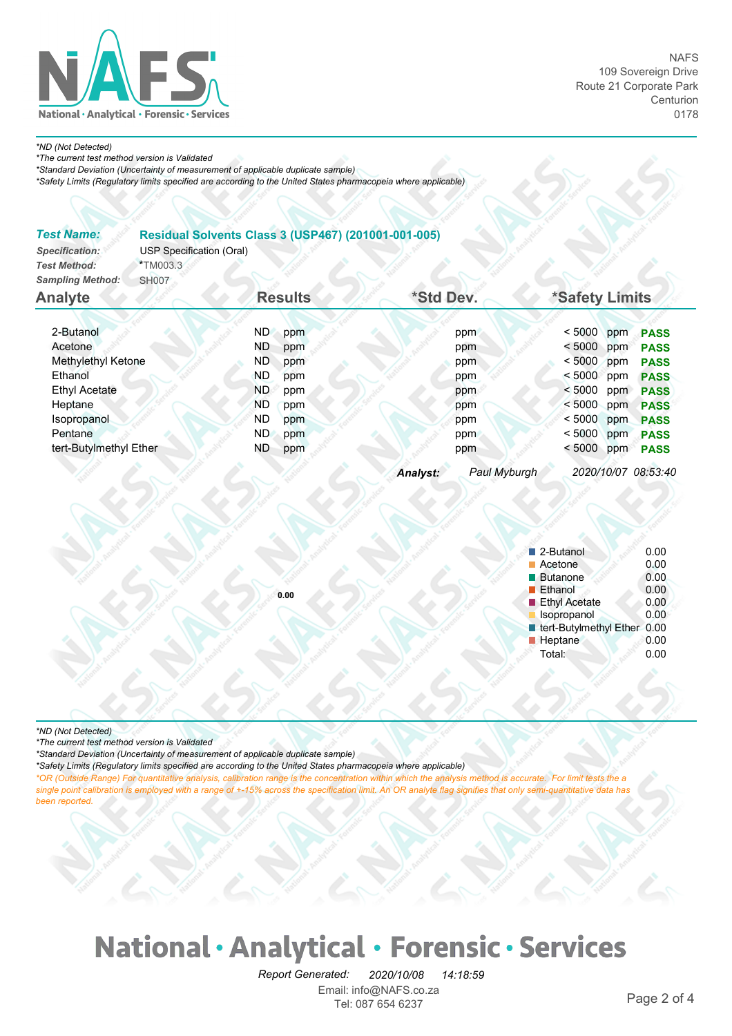

#### *\*ND (Not Detected)*

*\*The current test method version is Validated*

*\*Standard Deviation (Uncertainty of measurement of applicable duplicate sample)*

*\*Safety Limits (Regulatory limits specified are according to the United States pharmacopeia where applicable)*

| <b>Test Name:</b><br>Specification:<br><b>Test Method:</b><br><b>Sampling Method:</b> | <b>USP Specification (Oral)</b><br>*TM003.3<br><b>SH007</b> |           |                | Residual Solvents Class 3 (USP467) (201001-001-005) |              |                |     |                     |
|---------------------------------------------------------------------------------------|-------------------------------------------------------------|-----------|----------------|-----------------------------------------------------|--------------|----------------|-----|---------------------|
| <b>Analyte</b>                                                                        |                                                             |           | <b>Results</b> | *Std Dev.                                           |              | *Safety Limits |     |                     |
| 2-Butanol                                                                             |                                                             | ND.       | ppm            |                                                     | ppm          | < 5000         | ppm | <b>PASS</b>         |
| Acetone                                                                               |                                                             | ND        | ppm            |                                                     | ppm          | < 5000         | ppm | <b>PASS</b>         |
| Methylethyl Ketone                                                                    |                                                             | ND        | ppm            |                                                     | ppm          | < 5000         | ppm | <b>PASS</b>         |
| Ethanol                                                                               |                                                             | ND.       | ppm            |                                                     | ppm          | < 5000 ppm     |     | <b>PASS</b>         |
| <b>Ethyl Acetate</b>                                                                  |                                                             | ND.       | ppm            |                                                     | ppm          | < 5000         | ppm | <b>PASS</b>         |
| Heptane                                                                               |                                                             | <b>ND</b> | ppm            |                                                     | ppm          | < 5000         | ppm | <b>PASS</b>         |
| Isopropanol                                                                           |                                                             | <b>ND</b> | ppm            |                                                     | ppm          | < 5000         | ppm | <b>PASS</b>         |
| Pentane                                                                               |                                                             | ND.       | ppm            |                                                     | ppm          | < 5000         | ppm | <b>PASS</b>         |
| tert-Butylmethyl Ether                                                                |                                                             | ND        | ppm            |                                                     | ppm          | < 5000         | ppm | <b>PASS</b>         |
|                                                                                       |                                                             |           |                | Analyst:                                            | Paul Myburgh |                |     | 2020/10/07 08:53:40 |

| 2-Butanol              | 0.00 |
|------------------------|------|
| Acetone                | 0.00 |
| <b>Butanone</b>        | 0.00 |
| <b>Ethanol</b>         | 0.00 |
| <b>Ethyl Acetate</b>   | 0.00 |
| Isopropanol            | 0.00 |
| tert-Butylmethyl Ether | 0.00 |
| Heptane                | 0.00 |
| Total:                 | 0.00 |
|                        |      |

*\*ND (Not Detected)*

*\*The current test method version is Validated*

*\*Standard Deviation (Uncertainty of measurement of applicable duplicate sample)*

*\*Safety Limits (Regulatory limits specified are according to the United States pharmacopeia where applicable)*

**0.00**

*\*OR (Outside Range) For quantitative analysis, calibration range is the concentration within which the analysis method is accurate. For limit tests the a single point calibration is employed with a range of +-15% across the specification limit. An OR analyte flag signifies that only semi-quantitative data has been reported.* 

## National · Analytical · Forensic · Services

Email: info@NAFS.co.za Tel: 087 654 6237<br>Tel: 087 654 6237 *Report Generated: 2020/10/08 14:18:59*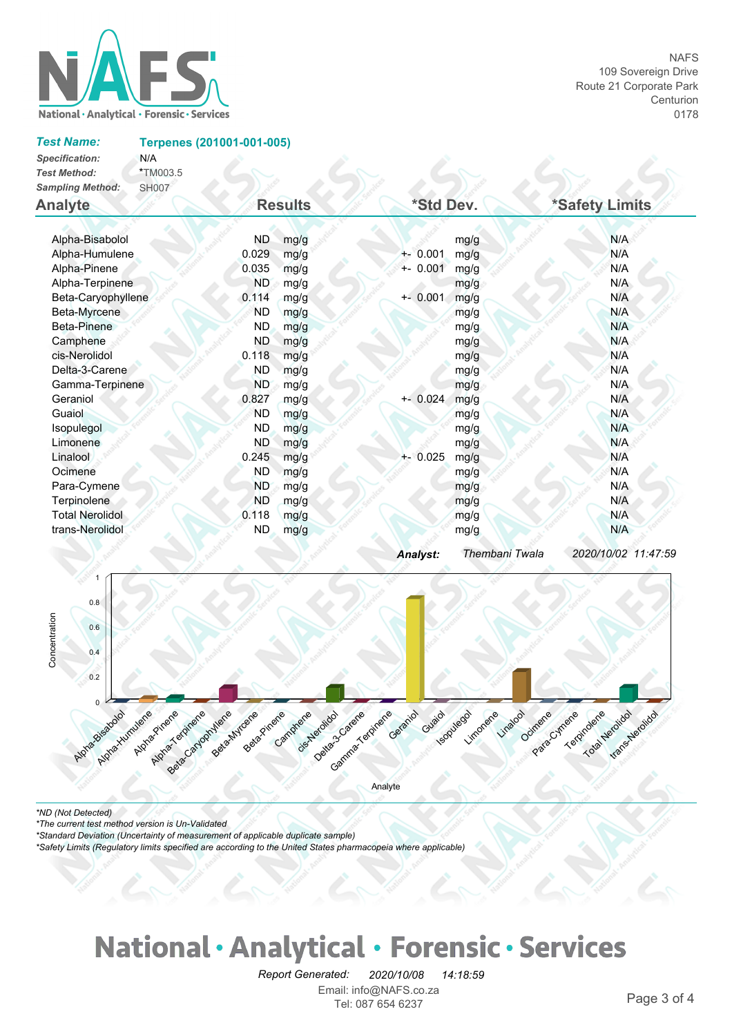

#### *Test Name:*

**Terpenes (201001-001-005)**

| Specification:          | N/A          |
|-------------------------|--------------|
| <b>Test Method:</b>     | *TM003.5     |
| <b>Sampling Method:</b> | <b>SH007</b> |

| <b>Analyte</b>         | <b>Results</b> |      | *Std Dev.   |                | *Safety Limits      |  |
|------------------------|----------------|------|-------------|----------------|---------------------|--|
| Alpha-Bisabolol        | ND             | mg/g |             | mg/g           | N/A                 |  |
| Alpha-Humulene         | 0.029          | mg/g | $+ - 0.001$ | mg/g           | N/A                 |  |
| Alpha-Pinene           | 0.035          | mg/g | $+ - 0.001$ | mg/g           | N/A                 |  |
| Alpha-Terpinene        | ND.            | mg/g |             | mg/g           | N/A                 |  |
| Beta-Caryophyllene     | 0.114          | mg/g | $+ - 0.001$ | mg/g           | N/A                 |  |
| Beta-Myrcene           | ND.            | mg/g |             | mg/g           | N/A                 |  |
| Beta-Pinene            | ND.            | mg/g |             | mg/g           | N/A                 |  |
| Camphene               | ND.            | mg/g |             | mg/g           | N/A                 |  |
| cis-Nerolidol          | 0.118          | mg/g |             | mg/g           | N/A                 |  |
| Delta-3-Carene         | <b>ND</b>      | mg/g |             | mg/g           | N/A                 |  |
| Gamma-Terpinene        | <b>ND</b>      | mg/g |             | mg/g           | N/A                 |  |
| Geraniol               | 0.827          | mg/g | $+ - 0.024$ | mg/g           | N/A                 |  |
| Guaiol                 | <b>ND</b>      | mg/g |             | mg/g           | N/A                 |  |
| Isopulegol             | <b>ND</b>      | mg/g |             | mg/g           | N/A                 |  |
| Limonene               | <b>ND</b>      | mg/g |             | mg/g           | N/A                 |  |
| Linalool               | 0.245          | mg/g | $+-0.025$   | mg/g           | N/A                 |  |
| Ocimene                | <b>ND</b>      | mg/g |             | mg/g           | N/A                 |  |
| Para-Cymene            | <b>ND</b>      | mg/g |             | mg/g           | N/A                 |  |
| Terpinolene            | <b>ND</b>      | mg/g |             | mg/g           | N/A                 |  |
| <b>Total Nerolidol</b> | 0.118          | mg/g |             | mg/g           | N/A                 |  |
| trans-Nerolidol        | <b>ND</b>      | mg/g |             | mg/g           | N/A                 |  |
|                        |                |      | Analyst:    | Thembani Twala | 2020/10/02 11:47:59 |  |

 $252.52.52$ 



*\*The current test method version is Un-Validated*

*\*Standard Deviation (Uncertainty of measurement of applicable duplicate sample)*

*\*Safety Limits (Regulatory limits specified are according to the United States pharmacopeia where applicable)*

## National · Analytical · Forensic · Services

Email: info@NAFS.co.za Tel: 087 654 6237<br>Tel: 087 654 6237 *Report Generated: 2020/10/08 14:18:59*